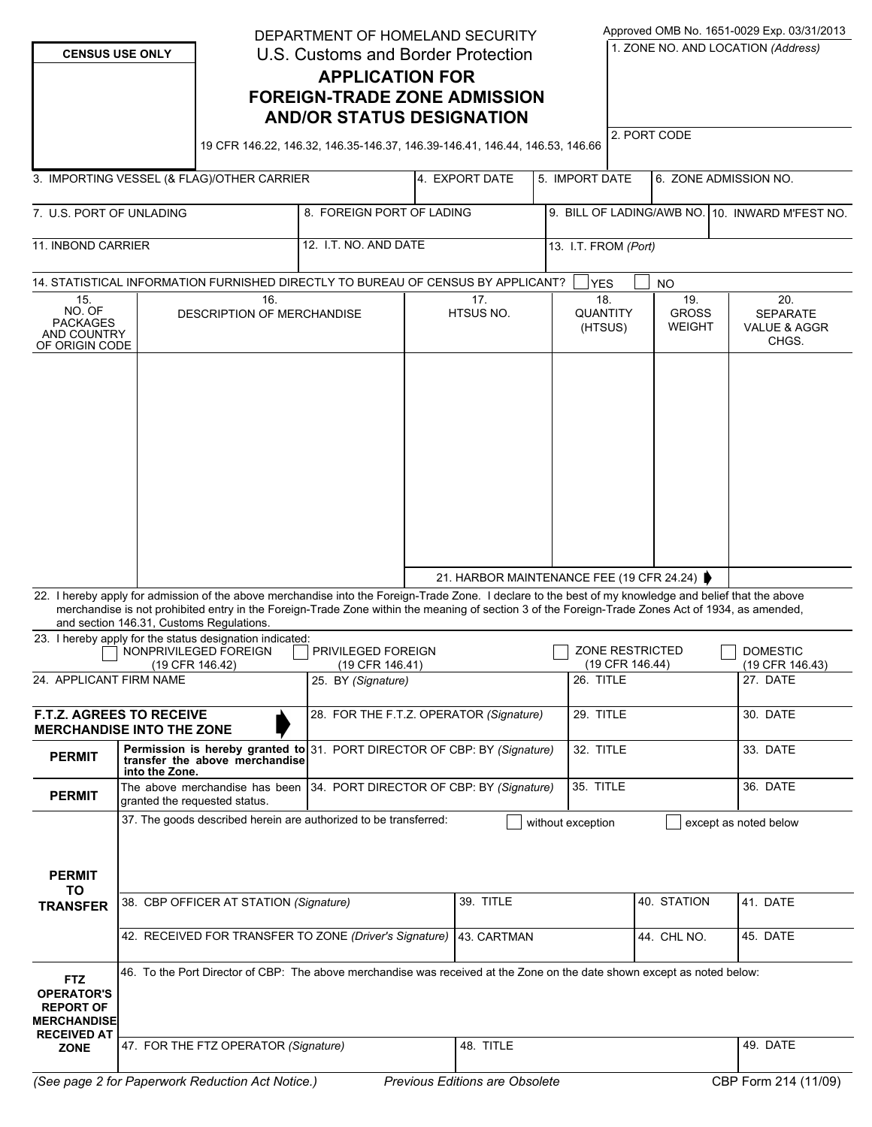| <b>CENSUS USE ONLY</b>                                                                                         |                                                                                                                                                                               | DEPARTMENT OF HOMELAND SECURITY<br>U.S. Customs and Border Protection<br><b>APPLICATION FOR</b><br><b>FOREIGN-TRADE ZONE ADMISSION</b><br><b>AND/OR STATUS DESIGNATION</b><br>19 CFR 146.22, 146.32, 146.35-146.37, 146.39-146.41, 146.44, 146.53, 146.66                                                                                               |                                                                                                             |                  |                                             |                                   |             | Approved OMB No. 1651-0029 Exp. 03/31/2013<br>1. ZONE NO. AND LOCATION (Address)<br>2. PORT CODE |          |                                                 |                                    |  |
|----------------------------------------------------------------------------------------------------------------|-------------------------------------------------------------------------------------------------------------------------------------------------------------------------------|---------------------------------------------------------------------------------------------------------------------------------------------------------------------------------------------------------------------------------------------------------------------------------------------------------------------------------------------------------|-------------------------------------------------------------------------------------------------------------|------------------|---------------------------------------------|-----------------------------------|-------------|--------------------------------------------------------------------------------------------------|----------|-------------------------------------------------|------------------------------------|--|
|                                                                                                                |                                                                                                                                                                               |                                                                                                                                                                                                                                                                                                                                                         |                                                                                                             |                  |                                             |                                   |             |                                                                                                  |          |                                                 |                                    |  |
|                                                                                                                |                                                                                                                                                                               | 3. IMPORTING VESSEL (& FLAG)/OTHER CARRIER                                                                                                                                                                                                                                                                                                              |                                                                                                             | 4. EXPORT DATE   |                                             | 5. IMPORT DATE                    |             |                                                                                                  |          | 6. ZONE ADMISSION NO.                           |                                    |  |
| 7. U.S. PORT OF UNLADING                                                                                       |                                                                                                                                                                               |                                                                                                                                                                                                                                                                                                                                                         | 8. FOREIGN PORT OF LADING                                                                                   |                  |                                             | 9. BILL OF LADING/AWB NO.         |             |                                                                                                  |          | 10. INWARD M'FEST NO.                           |                                    |  |
| <b>11. INBOND CARRIER</b>                                                                                      |                                                                                                                                                                               |                                                                                                                                                                                                                                                                                                                                                         | 12. I.T. NO. AND DATE<br>13. I.T. FROM (Port)                                                               |                  |                                             |                                   |             |                                                                                                  |          |                                                 |                                    |  |
|                                                                                                                |                                                                                                                                                                               |                                                                                                                                                                                                                                                                                                                                                         | 14. STATISTICAL INFORMATION FURNISHED DIRECTLY TO BUREAU OF CENSUS BY APPLICANT?<br><b>YES</b><br><b>NO</b> |                  |                                             |                                   |             |                                                                                                  |          |                                                 |                                    |  |
| 15.<br>16.<br>NO. OF<br><b>DESCRIPTION OF MERCHANDISE</b><br><b>PACKAGES</b><br>AND COUNTRY<br>OF ORIGIN CODE  |                                                                                                                                                                               |                                                                                                                                                                                                                                                                                                                                                         |                                                                                                             | 17.<br>HTSUS NO. |                                             | 18.<br><b>QUANTITY</b><br>(HTSUS) |             | 19.<br><b>GROSS</b><br><b>WEIGHT</b>                                                             |          | 20.<br><b>SEPARATE</b><br>VALUE & AGGR<br>CHGS. |                                    |  |
|                                                                                                                |                                                                                                                                                                               | 22. I hereby apply for admission of the above merchandise into the Foreign-Trade Zone. I declare to the best of my knowledge and belief that the above<br>merchandise is not prohibited entry in the Foreign-Trade Zone within the meaning of section 3 of the Foreign-Trade Zones Act of 1934, as amended,<br>and section 146.31, Customs Regulations. |                                                                                                             |                  | 21. HARBOR MAINTENANCE FEE (19 CFR 24.24) ▶ |                                   |             |                                                                                                  |          |                                                 |                                    |  |
| 23. I hereby apply for the status designation indicated:<br>NONPRIVILEGED FOREIGN<br>(19 CFR 146.42)           |                                                                                                                                                                               |                                                                                                                                                                                                                                                                                                                                                         | <b>PRIVILEGED FOREIGN</b><br>(19 CFR 146.41)                                                                |                  |                                             |                                   |             | <b>ZONE RESTRICTED</b><br>(19 CFR 146.44)                                                        |          |                                                 | <b>DOMESTIC</b><br>(19 CFR 146.43) |  |
| 24. APPLICANT FIRM NAME                                                                                        |                                                                                                                                                                               |                                                                                                                                                                                                                                                                                                                                                         | 25. BY (Signature)                                                                                          |                  |                                             |                                   | 26. TITLE   |                                                                                                  |          |                                                 | 27. DATE                           |  |
| <b>F.T.Z. AGREES TO RECEIVE</b><br><b>MERCHANDISE INTO THE ZONE</b>                                            |                                                                                                                                                                               |                                                                                                                                                                                                                                                                                                                                                         | 28. FOR THE F.T.Z. OPERATOR (Signature)                                                                     |                  |                                             |                                   | 29. TITLE   |                                                                                                  |          |                                                 | 30. DATE                           |  |
| <b>PERMIT</b>                                                                                                  | into the Zone.                                                                                                                                                                | transfer the above merchandise                                                                                                                                                                                                                                                                                                                          | Permission is hereby granted to 31. PORT DIRECTOR OF CBP: BY (Signature)                                    |                  |                                             |                                   | 32. TITLE   |                                                                                                  |          |                                                 | 33. DATE                           |  |
| <b>PERMIT</b>                                                                                                  |                                                                                                                                                                               | granted the requested status.                                                                                                                                                                                                                                                                                                                           | The above merchandise has been   34. PORT DIRECTOR OF CBP: BY (Signature)                                   |                  |                                             |                                   | 35. TITLE   |                                                                                                  |          |                                                 | 36. DATE                           |  |
| <b>PERMIT</b><br>TO                                                                                            | 37. The goods described herein are authorized to be transferred:<br>without exception<br>except as noted below                                                                |                                                                                                                                                                                                                                                                                                                                                         |                                                                                                             |                  |                                             |                                   |             |                                                                                                  |          |                                                 |                                    |  |
| <b>TRANSFER</b>                                                                                                |                                                                                                                                                                               | 38. CBP OFFICER AT STATION (Signature)                                                                                                                                                                                                                                                                                                                  |                                                                                                             |                  | 39. TITLE                                   |                                   | 40. STATION |                                                                                                  |          | 41. DATE                                        |                                    |  |
|                                                                                                                |                                                                                                                                                                               | 42. RECEIVED FOR TRANSFER TO ZONE (Driver's Signature)                                                                                                                                                                                                                                                                                                  |                                                                                                             | 43. CARTMAN      |                                             |                                   |             | 44. CHL NO.                                                                                      |          | 45. DATE                                        |                                    |  |
| <b>FTZ</b><br><b>OPERATOR'S</b><br><b>REPORT OF</b><br><b>MERCHANDISE</b><br><b>RECEIVED AT</b><br><b>ZONE</b> | 46. To the Port Director of CBP: The above merchandise was received at the Zone on the date shown except as noted below:<br>48. TITLE<br>47. FOR THE FTZ OPERATOR (Signature) |                                                                                                                                                                                                                                                                                                                                                         |                                                                                                             |                  |                                             |                                   |             |                                                                                                  | 49. DATE |                                                 |                                    |  |